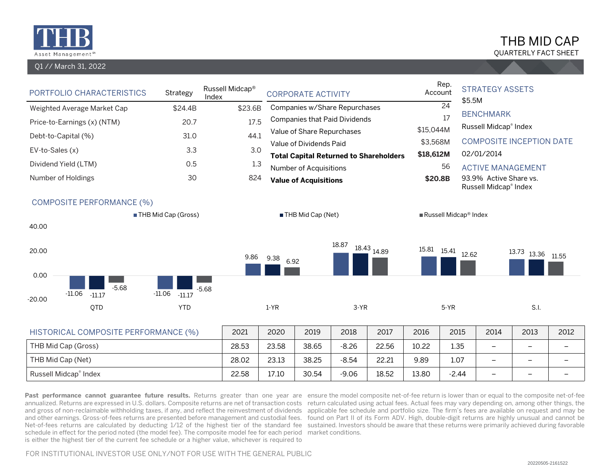

#### Q1 // March 31, 2022

# QUARTERLY FACT SHEET THB MID CAP

| PORTFOLIO CHARACTERISTICS                   | Strategy             | Russell Midcap®<br>Index |              | <b>CORPORATE ACTIVITY</b>            |         |                                               |           | Rep.<br>Account<br>\$5.5M | <b>STRATEGY ASSETS</b>                          |                                 |      |
|---------------------------------------------|----------------------|--------------------------|--------------|--------------------------------------|---------|-----------------------------------------------|-----------|---------------------------|-------------------------------------------------|---------------------------------|------|
| Weighted Average Market Cap                 | \$24.4B              | \$23.6B                  |              | Companies w/Share Repurchases        |         |                                               |           | $\overline{24}$           | <b>BENCHMARK</b>                                |                                 |      |
| Price-to-Earnings (x) (NTM)                 | 20.7                 | 17.5                     |              | <b>Companies that Paid Dividends</b> |         |                                               |           | 17                        | Russell Midcap® Index                           |                                 |      |
| Debt-to-Capital (%)                         | 31.0                 | 44.1                     |              | Value of Share Repurchases           |         |                                               | \$15,044M |                           |                                                 |                                 |      |
| EV-to-Sales (x)                             | 3.3                  | 3.0                      |              | Value of Dividends Paid              |         |                                               | \$3,568M  |                           |                                                 | <b>COMPOSITE INCEPTION DATE</b> |      |
| Dividend Yield (LTM)                        | 0.5                  | 1.3                      |              |                                      |         | <b>Total Capital Returned to Shareholders</b> | \$18,612M |                           | 02/01/2014                                      |                                 |      |
|                                             |                      |                          |              | Number of Acquisitions               |         |                                               |           | 56                        | <b>ACTIVE MANAGEMENT</b>                        |                                 |      |
| Number of Holdings                          | 30                   | 824                      |              | <b>Value of Acquisitions</b>         |         |                                               | \$20.8B   |                           | 93.9% Active Share vs.<br>Russell Midcap® Index |                                 |      |
| <b>COMPOSITE PERFORMANCE (%)</b><br>40.00   | THB Mid Cap (Gross)  |                          |              | THB Mid Cap (Net)                    |         |                                               |           | Russell Midcap® Index     |                                                 |                                 |      |
| 20.00<br>0.00                               |                      | 9.86                     | 9.38<br>6.92 |                                      | 18.87   | 18.43<br>14.89                                |           | 12.62                     |                                                 | 13.73 13.36 11.55               |      |
| $-5.68$<br>$-11.06$<br>$-11.17$<br>$-20.00$ | $-11.06$<br>$-11.17$ | $-5.68$                  |              |                                      |         |                                               |           |                           |                                                 |                                 |      |
| QTD                                         | <b>YTD</b>           |                          | $1-YR$       |                                      | $3-YR$  |                                               |           | $5-YR$                    |                                                 | S.I.                            |      |
|                                             |                      |                          |              |                                      |         |                                               |           |                           |                                                 |                                 |      |
| HISTORICAL COMPOSITE PERFORMANCE (%)        |                      | 2021                     | 2020         | 2019                                 | 2018    | 2017                                          | 2016      | 2015                      | 2014                                            | 2013                            | 2012 |
| THB Mid Cap (Gross)                         |                      | 28.53                    | 23.58        | 38.65                                | $-8.26$ | 22.56                                         | 10.22     | 1.35                      | $\overline{\phantom{0}}$                        | $\overline{\phantom{m}}$        | ۳    |
| THB Mid Cap (Net)                           |                      | 28.02                    | 23.13        | 38.25                                | $-8.54$ | 22.21                                         | 9.89      | 1.07                      | $\overline{\phantom{0}}$                        | $\qquad \qquad -$               |      |

Russell Midcap® Index 22.58 17.10 30.54 -9.06 18.52 13.80 -2.44 - – – – –

Past performance cannot guarantee future results. Returns greater than one year are ensure the model composite net-of-fee return is lower than or equal to the composite net-of-fee annualized. Returns are expressed in U.S. dollars. Composite returns are net of transaction costs return calculated using actual fees. Actual fees may vary depending on, among other things, the and gross of non-reclaimable withholding taxes, if any, and reflect the reinvestment of dividends applicable fee schedule and portfolio size. The firm's fees are available on request and may be and other earnings. Gross-of-fees returns are presented before management and custodial fees. ) found on Part II of its Form ADV. High, double-digit returns are highly unusual and cannot be Net-of-fees returns are calculated by deducting 1/12 of the highest tier of the standard fee sustained. Investors should be aware that these returns were primarily achieved during favorable schedule in effect for the period noted (the model fee). The composite model fee for each period market conditions. is either the highest tier of the current fee schedule or a higher value, whichever is required to

FOR INSTITUTIONAL INVESTOR USE ONLY/NOT FOR USE WITH THE GENERAL PUBLIC